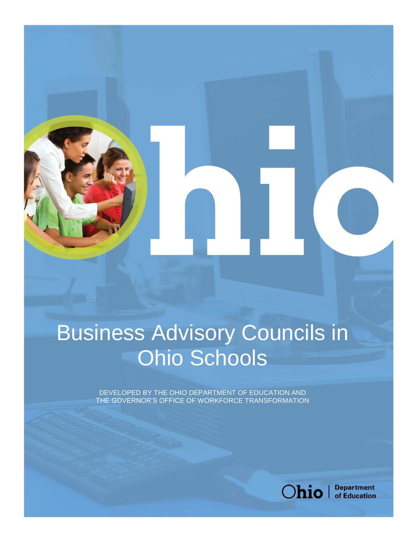# Business Advisory Councils in Ohio Schools

DEVELOPED BY THE OHIO DEPARTMENT OF EDUCATION AND THE GOVERNOR'S OFFICE OF WORKFORCE TRANSFORMATION



**PAGE 0** | BUSINESS ADVISORY COUNCILS IN OHIO SCHOOLS | December 7, 2017

**Department** of Education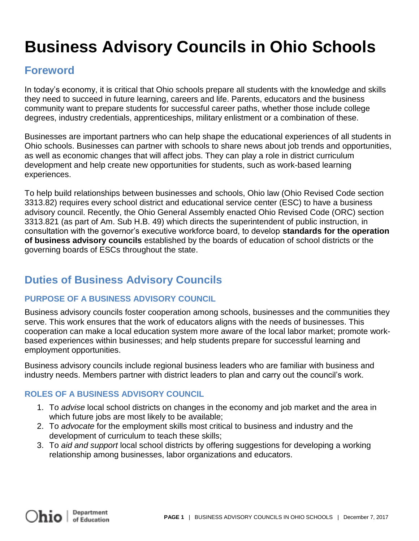# **Business Advisory Councils in Ohio Schools**

## **Foreword**

In today's economy, it is critical that Ohio schools prepare all students with the knowledge and skills they need to succeed in future learning, careers and life. Parents, educators and the business community want to prepare students for successful career paths, whether those include college degrees, industry credentials, apprenticeships, military enlistment or a combination of these.

Businesses are important partners who can help shape the educational experiences of all students in Ohio schools. Businesses can partner with schools to share news about job trends and opportunities, as well as economic changes that will affect jobs. They can play a role in district curriculum development and help create new opportunities for students, such as work-based learning experiences.

To help build relationships between businesses and schools, Ohio law (Ohio Revised Code section 3313.82) requires every school district and educational service center (ESC) to have a business advisory council. Recently, the Ohio General Assembly enacted Ohio Revised Code (ORC) section 3313.821 (as part of Am. Sub H.B. 49) which directs the superintendent of public instruction, in consultation with the governor's executive workforce board, to develop **standards for the operation of business advisory councils** established by the boards of education of school districts or the governing boards of ESCs throughout the state.

# **Duties of Business Advisory Councils**

### **PURPOSE OF A BUSINESS ADVISORY COUNCIL**

Business advisory councils foster cooperation among schools, businesses and the communities they serve. This work ensures that the work of educators aligns with the needs of businesses. This cooperation can make a local education system more aware of the local labor market; promote workbased experiences within businesses; and help students prepare for successful learning and employment opportunities.

Business advisory councils include regional business leaders who are familiar with business and industry needs. Members partner with district leaders to plan and carry out the council's work.

### **ROLES OF A BUSINESS ADVISORY COUNCIL**

- 1. To *advise* local school districts on changes in the economy and job market and the area in which future jobs are most likely to be available;
- 2. To *advocate* for the employment skills most critical to business and industry and the development of curriculum to teach these skills;
- 3. To *aid and support* local school districts by offering suggestions for developing a working relationship among businesses, labor organizations and educators.

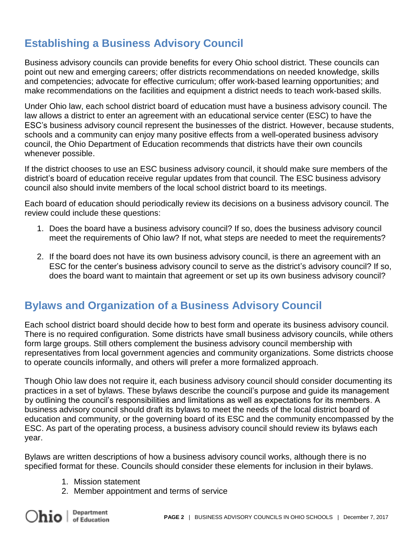# **Establishing a Business Advisory Council**

Business advisory councils can provide benefits for every Ohio school district. These councils can point out new and emerging careers; offer districts recommendations on needed knowledge, skills and competencies; advocate for effective curriculum; offer work-based learning opportunities; and make recommendations on the facilities and equipment a district needs to teach work-based skills.

Under Ohio law, each school district board of education must have a business advisory council. The law allows a district to enter an agreement with an educational service center (ESC) to have the ESC's business advisory council represent the businesses of the district. However, because students, schools and a community can enjoy many positive effects from a well-operated business advisory council, the Ohio Department of Education recommends that districts have their own councils whenever possible.

If the district chooses to use an ESC business advisory council, it should make sure members of the district's board of education receive regular updates from that council. The ESC business advisory council also should invite members of the local school district board to its meetings.

Each board of education should periodically review its decisions on a business advisory council. The review could include these questions:

- 1. Does the board have a business advisory council? If so, does the business advisory council meet the requirements of Ohio law? If not, what steps are needed to meet the requirements?
- 2. If the board does not have its own business advisory council, is there an agreement with an ESC for the center's business advisory council to serve as the district's advisory council? If so, does the board want to maintain that agreement or set up its own business advisory council?

# **Bylaws and Organization of a Business Advisory Council**

Each school district board should decide how to best form and operate its business advisory council. There is no required configuration. Some districts have small business advisory councils, while others form large groups. Still others complement the business advisory council membership with representatives from local government agencies and community organizations. Some districts choose to operate councils informally, and others will prefer a more formalized approach.

Though Ohio law does not require it, each business advisory council should consider documenting its practices in a set of bylaws. These bylaws describe the council's purpose and guide its management by outlining the council's responsibilities and limitations as well as expectations for its members. A business advisory council should draft its bylaws to meet the needs of the local district board of education and community, or the governing board of its ESC and the community encompassed by the ESC. As part of the operating process, a business advisory council should review its bylaws each year.

Bylaws are written descriptions of how a business advisory council works, although there is no specified format for these. Councils should consider these elements for inclusion in their bylaws.

- 1. Mission statement
- 2. Member appointment and terms of service

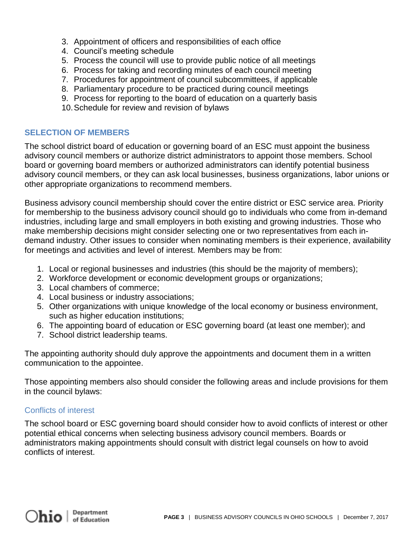- 3. Appointment of officers and responsibilities of each office
- 4. Council's meeting schedule
- 5. Process the council will use to provide public notice of all meetings
- 6. Process for taking and recording minutes of each council meeting
- 7. Procedures for appointment of council subcommittees, if applicable
- 8. Parliamentary procedure to be practiced during council meetings
- 9. Process for reporting to the board of education on a quarterly basis
- 10.Schedule for review and revision of bylaws

#### **SELECTION OF MEMBERS**

The school district board of education or governing board of an ESC must appoint the business advisory council members or authorize district administrators to appoint those members. School board or governing board members or authorized administrators can identify potential business advisory council members, or they can ask local businesses, business organizations, labor unions or other appropriate organizations to recommend members.

Business advisory council membership should cover the entire district or ESC service area. Priority for membership to the business advisory council should go to individuals who come from in-demand industries, including large and small employers in both existing and growing industries. Those who make membership decisions might consider selecting one or two representatives from each indemand industry. Other issues to consider when nominating members is their experience, availability for meetings and activities and level of interest. Members may be from:

- 1. Local or regional businesses and industries (this should be the majority of members);
- 2. Workforce development or economic development groups or organizations;
- 3. Local chambers of commerce;
- 4. Local business or industry associations;
- 5. Other organizations with unique knowledge of the local economy or business environment, such as higher education institutions;
- 6. The appointing board of education or ESC governing board (at least one member); and
- 7. School district leadership teams.

The appointing authority should duly approve the appointments and document them in a written communication to the appointee.

Those appointing members also should consider the following areas and include provisions for them in the council bylaws:

#### Conflicts of interest

The school board or ESC governing board should consider how to avoid conflicts of interest or other potential ethical concerns when selecting business advisory council members. Boards or administrators making appointments should consult with district legal counsels on how to avoid conflicts of interest.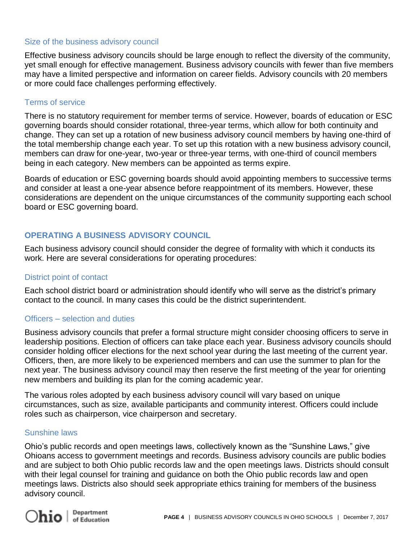#### Size of the business advisory council

Effective business advisory councils should be large enough to reflect the diversity of the community, yet small enough for effective management. Business advisory councils with fewer than five members may have a limited perspective and information on career fields. Advisory councils with 20 members or more could face challenges performing effectively.

#### Terms of service

There is no statutory requirement for member terms of service. However, boards of education or ESC governing boards should consider rotational, three-year terms, which allow for both continuity and change. They can set up a rotation of new business advisory council members by having one-third of the total membership change each year. To set up this rotation with a new business advisory council, members can draw for one-year, two-year or three-year terms, with one-third of council members being in each category. New members can be appointed as terms expire.

Boards of education or ESC governing boards should avoid appointing members to successive terms and consider at least a one-year absence before reappointment of its members. However, these considerations are dependent on the unique circumstances of the community supporting each school board or ESC governing board.

#### **OPERATING A BUSINESS ADVISORY COUNCIL**

Each business advisory council should consider the degree of formality with which it conducts its work. Here are several considerations for operating procedures:

#### District point of contact

Each school district board or administration should identify who will serve as the district's primary contact to the council. In many cases this could be the district superintendent.

#### Officers – selection and duties

Business advisory councils that prefer a formal structure might consider choosing officers to serve in leadership positions. Election of officers can take place each year. Business advisory councils should consider holding officer elections for the next school year during the last meeting of the current year. Officers, then, are more likely to be experienced members and can use the summer to plan for the next year. The business advisory council may then reserve the first meeting of the year for orienting new members and building its plan for the coming academic year.

The various roles adopted by each business advisory council will vary based on unique circumstances, such as size, available participants and community interest. Officers could include roles such as chairperson, vice chairperson and secretary.

#### Sunshine laws

Ohio's public records and open meetings laws, collectively known as the "Sunshine Laws," give Ohioans access to government meetings and records. Business advisory councils are public bodies and are subject to both Ohio public records law and the open meetings laws. Districts should consult with their legal counsel for training and guidance on both the Ohio public records law and open meetings laws. Districts also should seek appropriate ethics training for members of the business advisory council.

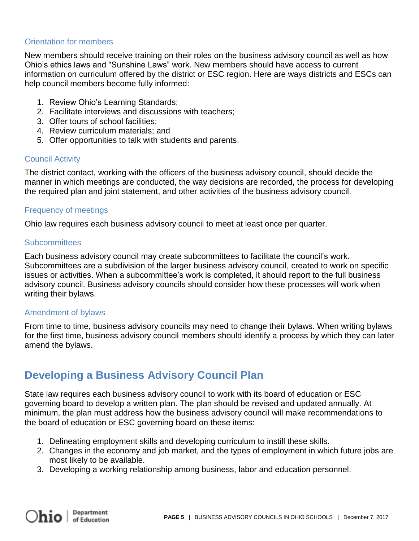#### Orientation for members

New members should receive training on their roles on the business advisory council as well as how Ohio's ethics laws and "Sunshine Laws" work. New members should have access to current information on curriculum offered by the district or ESC region. Here are ways districts and ESCs can help council members become fully informed:

- 1. Review Ohio's Learning Standards;
- 2. Facilitate interviews and discussions with teachers;
- 3. Offer tours of school facilities;
- 4. Review curriculum materials; and
- 5. Offer opportunities to talk with students and parents.

#### Council Activity

The district contact, working with the officers of the business advisory council, should decide the manner in which meetings are conducted, the way decisions are recorded, the process for developing the required plan and joint statement, and other activities of the business advisory council.

#### Frequency of meetings

Ohio law requires each business advisory council to meet at least once per quarter.

#### **Subcommittees**

Each business advisory council may create subcommittees to facilitate the council's work. Subcommittees are a subdivision of the larger business advisory council, created to work on specific issues or activities. When a subcommittee's work is completed, it should report to the full business advisory council. Business advisory councils should consider how these processes will work when writing their bylaws.

#### Amendment of bylaws

From time to time, business advisory councils may need to change their bylaws. When writing bylaws for the first time, business advisory council members should identify a process by which they can later amend the bylaws.

### **Developing a Business Advisory Council Plan**

State law requires each business advisory council to work with its board of education or ESC governing board to develop a written plan. The plan should be revised and updated annually. At minimum, the plan must address how the business advisory council will make recommendations to the board of education or ESC governing board on these items:

- 1. Delineating employment skills and developing curriculum to instill these skills.
- 2. Changes in the economy and job market, and the types of employment in which future jobs are most likely to be available.
- 3. Developing a working relationship among business, labor and education personnel.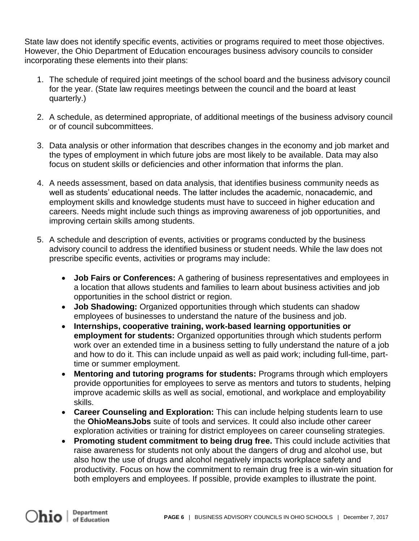State law does not identify specific events, activities or programs required to meet those objectives. However, the Ohio Department of Education encourages business advisory councils to consider incorporating these elements into their plans:

- 1. The schedule of required joint meetings of the school board and the business advisory council for the year. (State law requires meetings between the council and the board at least quarterly.)
- 2. A schedule, as determined appropriate, of additional meetings of the business advisory council or of council subcommittees.
- 3. Data analysis or other information that describes changes in the economy and job market and the types of employment in which future jobs are most likely to be available. Data may also focus on student skills or deficiencies and other information that informs the plan.
- 4. A needs assessment, based on data analysis, that identifies business community needs as well as students' educational needs. The latter includes the academic, nonacademic, and employment skills and knowledge students must have to succeed in higher education and careers. Needs might include such things as improving awareness of job opportunities, and improving certain skills among students.
- 5. A schedule and description of events, activities or programs conducted by the business advisory council to address the identified business or student needs. While the law does not prescribe specific events, activities or programs may include:
	- **Job Fairs or Conferences:** A gathering of business representatives and employees in a location that allows students and families to learn about business activities and job opportunities in the school district or region.
	- **Job Shadowing:** Organized opportunities through which students can shadow employees of businesses to understand the nature of the business and job.
	- **Internships, cooperative training, work-based learning opportunities or employment for students:** Organized opportunities through which students perform work over an extended time in a business setting to fully understand the nature of a job and how to do it. This can include unpaid as well as paid work; including full-time, parttime or summer employment.
	- **Mentoring and tutoring programs for students:** Programs through which employers provide opportunities for employees to serve as mentors and tutors to students, helping improve academic skills as well as social, emotional, and workplace and employability skills.
	- **Career Counseling and Exploration:** This can include helping students learn to use the **OhioMeansJobs** suite of tools and services. It could also include other career exploration activities or training for district employees on career counseling strategies.
	- **Promoting student commitment to being drug free.** This could include activities that raise awareness for students not only about the dangers of drug and alcohol use, but also how the use of drugs and alcohol negatively impacts workplace safety and productivity. Focus on how the commitment to remain drug free is a win-win situation for both employers and employees. If possible, provide examples to illustrate the point.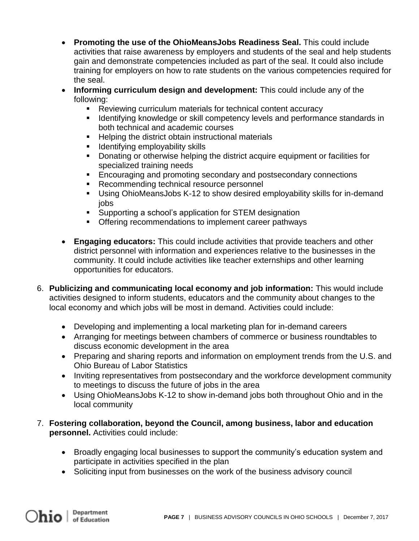- **Promoting the use of the OhioMeansJobs Readiness Seal.** This could include activities that raise awareness by employers and students of the seal and help students gain and demonstrate competencies included as part of the seal. It could also include training for employers on how to rate students on the various competencies required for the seal.
- **Informing curriculum design and development:** This could include any of the following:
	- Reviewing curriculum materials for technical content accuracy
	- Identifying knowledge or skill competency levels and performance standards in both technical and academic courses
	- Helping the district obtain instructional materials
	- **E** Identifying employability skills
	- Donating or otherwise helping the district acquire equipment or facilities for specialized training needs
	- Encouraging and promoting secondary and postsecondary connections
	- Recommending technical resource personnel
	- Using OhioMeansJobs K-12 to show desired employability skills for in-demand jobs
	- Supporting a school's application for STEM designation
	- Offering recommendations to implement career pathways
- **Engaging educators:** This could include activities that provide teachers and other district personnel with information and experiences relative to the businesses in the community. It could include activities like teacher externships and other learning opportunities for educators.
- 6. **Publicizing and communicating local economy and job information:** This would include activities designed to inform students, educators and the community about changes to the local economy and which jobs will be most in demand. Activities could include:
	- Developing and implementing a local marketing plan for in-demand careers
	- Arranging for meetings between chambers of commerce or business roundtables to discuss economic development in the area
	- Preparing and sharing reports and information on employment trends from the U.S. and Ohio Bureau of Labor Statistics
	- Inviting representatives from postsecondary and the workforce development community to meetings to discuss the future of jobs in the area
	- Using OhioMeansJobs K-12 to show in-demand jobs both throughout Ohio and in the local community
- 7. **Fostering collaboration, beyond the Council, among business, labor and education personnel.** Activities could include:
	- Broadly engaging local businesses to support the community's education system and participate in activities specified in the plan
	- Soliciting input from businesses on the work of the business advisory council